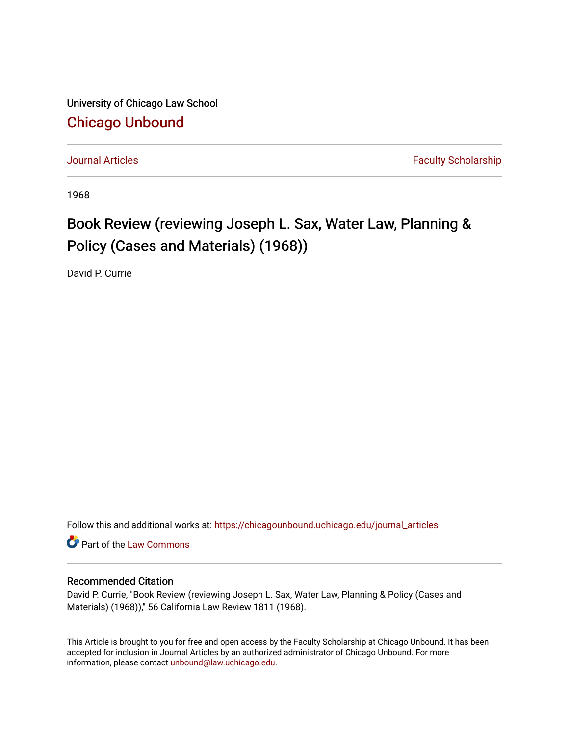University of Chicago Law School [Chicago Unbound](https://chicagounbound.uchicago.edu/)

[Journal Articles](https://chicagounbound.uchicago.edu/journal_articles) **Faculty Scholarship Journal Articles** 

1968

## Book Review (reviewing Joseph L. Sax, Water Law, Planning & Policy (Cases and Materials) (1968))

David P. Currie

Follow this and additional works at: [https://chicagounbound.uchicago.edu/journal\\_articles](https://chicagounbound.uchicago.edu/journal_articles?utm_source=chicagounbound.uchicago.edu%2Fjournal_articles%2F3931&utm_medium=PDF&utm_campaign=PDFCoverPages) 

Part of the [Law Commons](http://network.bepress.com/hgg/discipline/578?utm_source=chicagounbound.uchicago.edu%2Fjournal_articles%2F3931&utm_medium=PDF&utm_campaign=PDFCoverPages)

## Recommended Citation

David P. Currie, "Book Review (reviewing Joseph L. Sax, Water Law, Planning & Policy (Cases and Materials) (1968))," 56 California Law Review 1811 (1968).

This Article is brought to you for free and open access by the Faculty Scholarship at Chicago Unbound. It has been accepted for inclusion in Journal Articles by an authorized administrator of Chicago Unbound. For more information, please contact [unbound@law.uchicago.edu](mailto:unbound@law.uchicago.edu).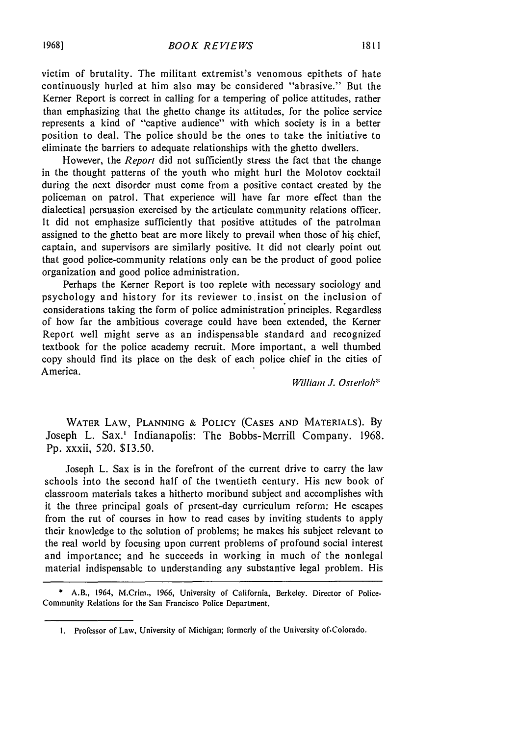victim of brutality. The militant extremist's venomous epithets of hate continuously hurled at him also may be considered "abrasive." But the Kerner Report is correct in calling for a tempering of police attitudes, rather than emphasizing that the ghetto change its attitudes, for the police service represents a kind of "captive audience" with which society is in a better position to deal. The police should be the ones to take the initiative to eliminate the barriers to adequate relationships with the ghetto dwellers.

However, the *Report* did not sufficiently stress the fact that the change in the thought patterns of the youth who might hurl the Molotov cocktail during the next disorder must come from a positive contact created by the policeman on patrol. That experience will have far more effect than the dialectical persuasion exercised by the articulate community relations officer. It did not emphasize sufficiently that positive attitudes of the patrolman assigned to the ghetto beat are more likely to prevail when those of his chief, captain, and supervisors are similarly positive. It did not clearly point out that good police-community relations only can be the product of good police organization and good police administration.

Perhaps the Kerner Report is too replete with necessary sociology and psychology and history for its reviewer to.insist on the inclusion of considerations taking the form of police administration principles. Regardless of how far the ambitious coverage could have been extended, the Kerner Report well might serve as an indispensable standard and recognized textbook for the police academy recruit. More important, a well thumbed copy should find its place on the desk of each police chief in the cities of America.

*William J. Osterloh\**

WATER LAW, **PLANNING &** POLICY **(CASES AND** MATERIALS). By Joseph L. Sax.' Indianapolis: The Bobbs-Merrill Company. 1968. Pp. xxxii, 520. \$13.50.

Joseph L. Sax is in the forefront of the current drive to carry the law schools into the second half of the twentieth century. His new book of classroom materials takes a hitherto moribund subject and accomplishes with it the three principal goals of present-day curriculum reform: He escapes from the rut of courses in how to read cases **by** inviting students to apply their knowledge to the solution of problems; he makes his subject relevant to the real world **by** focusing upon current problems of profound social interest and importance; and he succeeds in working in much of the nonlegal material indispensable to understanding any substantive legal problem. His

<sup>\*</sup> **A.B.,** 1964, M.Crim., **1966,** University of California, Berkeley. Director of Police-Community Relations for the San Francisco Police Department.

**<sup>1.</sup>** Professor of Law, University of Michigan; formerly of the University of-Colorado.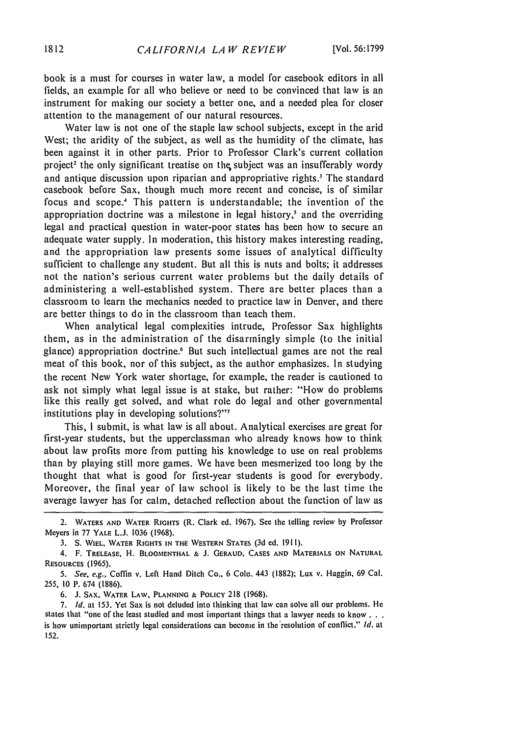book is a must for courses in water law, a model for casebook editors in all fields, an example for all who believe or need to be convinced that law is an instrument for making our society a better one, and a needed plea for closer attention to the management of our natural resources.

Water law is not one of the staple law school subjects, except in the arid West; the aridity of the subject, as well as the humidity of the climate, has been against it in other parts. Prior to Professor Clark's current collation project<sup>2</sup> the only significant treatise on the subject was an insufferably wordy and antique discussion upon riparian and appropriative rights.' The standard casebook before Sax, though much more recent and concise, is of similar focus and scope.4 This pattern is understandable; the invention of the appropriation doctrine was a milestone in legal history,<sup>5</sup> and the overriding legal and practical question in water-poor states has been how to secure an adequate water supply. In moderation, this history makes interesting reading, and the appropriation law presents some issues of analytical difficulty sufficient to challenge any student. But all this is nuts and bolts; it addresses not the nation's serious current water problems but the daily details of administering a well-established system. There are better places than a classroom to learn the mechanics needed to practice law in Denver, and there are better things to do in the classroom than teach them.

When analytical legal complexities intrude, Professor Sax highlights them, as in the administration of the disarmingly simple (to the initial glance) appropriation doctrine.<sup>6</sup> But such intellectual games are not the real meat of this book, nor of this subject, as the author emphasizes. In studying the recent New York water shortage, for example, the reader is cautioned to ask not simply what legal issue is at stake, but rather: "How do problems like this really get solved, and what role do legal and other governmental institutions play in developing solutions?"'

This, **I** submit, is what law is all about. Analytical exercises are great for first-year students, but the upperclassman who already knows how to think about law profits more from putting his knowledge to use on real problems than by playing still more games. We have been mesmerized too long by the thought that what is good for first-year students is good for everybody. Moreover, the final year of law school is likely to be the last time the average lawyer has for calm, detached reflection about the function of law as

**3. S.** WIEL, **WATER** RIGHTS **IN THE** WESTERN **STATES (3d ed. 1911).**

**6. J. SAX, WATER** LAW, **PLANNING &** POLICY **218 (1968).**

**<sup>2.</sup>** WATERS **AND** WATER RIGHTS (R. Clark **ed. 1967). See** the **telling** review **by** Professor **Meyers** in **77** YALE **L.J. 1036 (1968).**

**<sup>4.</sup> F.** TRELEASE, **H. BLOOMENTHAL & J. GERAUD, CASES AND** MATERIALS **ON NATURAL RESOURCES (1965).**

*<sup>5.</sup> See, e.g.,* Coffin v. Left Hand **Ditch** Co., **6** Colo. 443 **(1882);** Lux **v.** Haggin, **69** Cal. **255, 10** P. 674 **(1886).**

**<sup>7.</sup>** *Id.* at **153. Yet** Sax is not deluded into thinking that law can solve all **our** problems. He states that "one of **the** least studied and most important things that a lawyer needs to know **. ..** is how unimportant strictly legal considerations can become **in** the'resolution **of** conflict." *Id.* at **152.**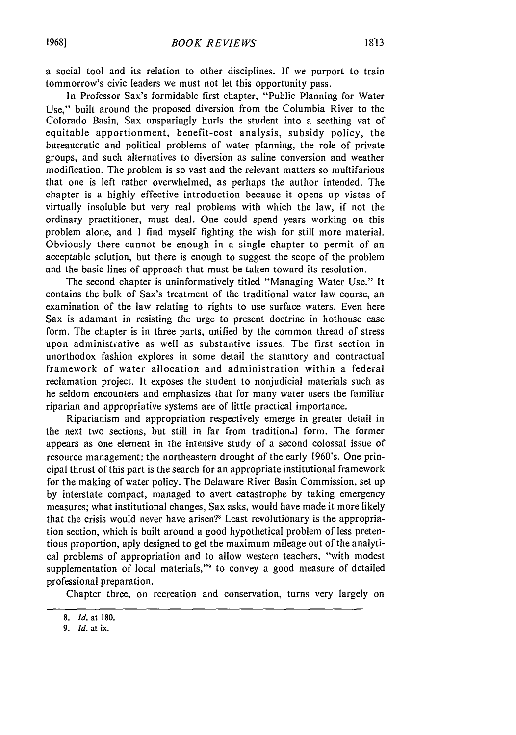a social tool and its relation to other disciplines. If we purport to train tommorrow's civic leaders we must not let this opportunity pass.

In Professor Sax's formidable first chapter, "Public Planning for Water Use," built around the proposed diversion from the Columbia River to the Colorado Basin, Sax unsparingly hurls the student into a seething vat of equitable apportionment, benefit-cost analysis, subsidy policy, the bureaucratic and political problems of water planning, the role of private groups, and such alternatives to diversion as saline conversion and weather modification. The problem is so vast and the relevant matters so multifarious that one is left rather overwhelmed, as perhaps the author intended. The chapter is a highly effective introduction because it opens up vistas of virtually insoluble but very real problems with which the law, if not the ordinary practitioner, must deal. One could spend years working on this problem alone, and I find myself fighting the wish for still more material. Obviously there cannot be enough in a single chapter to permit of an acceptable solution, but there is enough to suggest the scope of the problem and the basic lines of approach that must be taken toward its resolution.

The second chapter is uninformatively titled "Managing Water Use." It contains the bulk of Sax's treatment of the traditional water law course, an examination of the law relating to rights to use surface waters. Even here Sax is adamant in resisting the urge to present doctrine in hothouse case form. The chapter is in three parts, unified by the common thread of stress upon administrative as well as substantive issues. The first section in unorthodox fashion explores in some detail the statutory and contractual framework of water allocation and administration within a federal reclamation project. It exposes the student to nonjudicial materials such as he seldom encounters and emphasizes that for many water users the familiar riparian and appropriative systems are of little practical importance.

Riparianism and appropriation respectively emerge in greater detail in the next two sections, but still in far from traditional form. The former appears as one element in the intensive study of a second colossal issue of resource management: the northeastern drought of the early 1960's. One principal thrust of this part is the search for an appropriate institutional framework for the making of water policy. The Delaware River Basin Commission, set up by interstate compact, managed to avert catastrophe by taking emergency measures; what institutional changes, Sax asks, would have made it more likely that the crisis would never have arisen?8 Least revolutionary is the appropriation section, which is built around a good hypothetical problem of less pretentious proportion, aply designed to get the maximum mileage out of the analytical problems of appropriation and to allow western teachers, "with modest supplementation of local materials," to convey a good measure of detailed professional preparation.

Chapter three, on recreation and conservation, turns very largely on

**<sup>8.</sup> Id.** at **180.**

*<sup>9.</sup>* **Id.** at ix.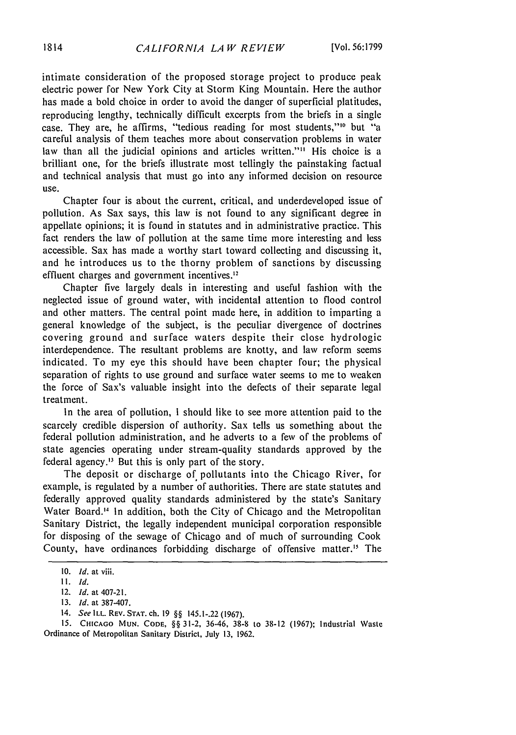intimate consideration of the proposed storage project to produce peak electric power for New York City at Storm King Mountain. Here the author has made a bold choice in order to avoid the danger of superficial platitudes, reproducing lengthy, technically difficult excerpts from the briefs in a single case. They are, he affirms, "tedious reading for most students,"<sup>10</sup> but "a careful analysis of them teaches more about conservation problems in water law than all the judicial opinions and articles written."" His choice is a brilliant one, for the briefs illustrate most tellingly the painstaking factual and technical analysis that must go into any informed decision on resource use.

Chapter four is about the current, critical, and underdeveloped issue of pollution. As Sax says, this law is not found to any significant degree in appellate opinions; it is found in statutes and in administrative practice. This fact renders the law of pollution at the same time more interesting and less accessible. Sax has made a worthy start toward collecting and discussing it, and he introduces us to the thorny problem of sanctions by discussing effluent charges and government incentives. $12$ 

Chapter five largely deals in interesting and useful fashion with the neglected issue of ground water, with incidental attention to flood control and other matters. The central point made here, in addition to imparting a general knowledge of the subject, is the peculiar divergence of doctrines covering ground and surface waters despite their close hydrologic interdependence. The resultant problems are knotty, and law reform seems indicated. To my eye this should have been chapter four; the physical separation of rights to use ground and surface water seems to me to weaken the force of Sax's valuable insight into the defects of their separate legal treatment.

In the area of pollution, I should like to see more attention paid to the scarcely credible dispersion of authority. Sax tells us something about the federal pollution administration, and he adverts to a few of the problems of state agencies operating under stream-quality standards approved by the federal agency.<sup>13</sup> But this is only part of the story.

The deposit or discharge of pollutants into the Chicago River, for example, is regulated by a number of authorities. There are state statutes and federally approved quality standards administered by the state's Sanitary Water Board.'4 In addition, both the City of Chicago and the Metropolitan Sanitary District, the legally independent municipal corporation responsible for disposing of the sewage of Chicago and of much of surrounding Cook County, have ordinances forbidding discharge of offensive matter.'" The

14. *See* **ILL.** REv. **STAT.** ch. **19** §§ 145.1-.22 **(1967).**

**<sup>10.</sup>** *Id.* at viii.

**<sup>11.</sup>** *Id.*

<sup>12.</sup> *Id.* at 407-21.

**<sup>13.</sup>** *Id.* at **387-407.**

**<sup>15.</sup> CHICAGO MUN. CODE, §§ 31-2, 36-46, 38-8** to **38-12 (1967);** Industrial Waste Ordinance of Metropolitan Sanitary District, July **13, 1962.**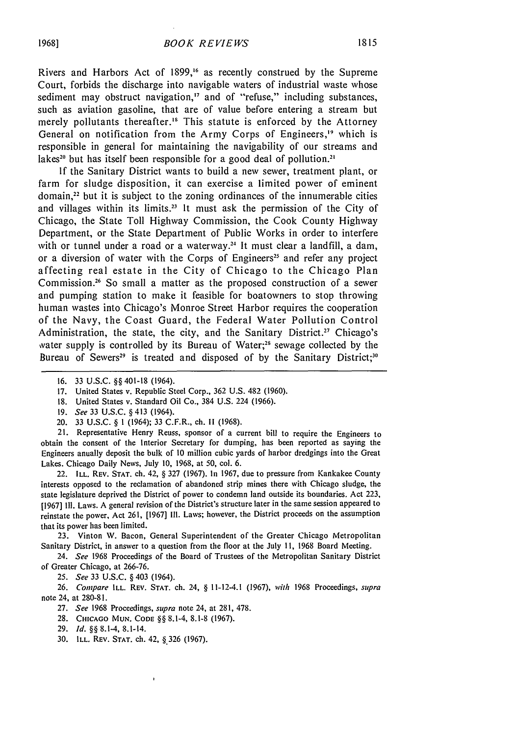Rivers and Harbors Act of  $1899$ ,<sup>16</sup> as recently construed by the Supreme Court, forbids the discharge into navigable waters of industrial waste whose sediment may obstruct navigation,<sup>17</sup> and of "refuse," including substances, such as aviation gasoline, that are of value before entering a stream but merely pollutants thereafter." This statute is enforced by the Attorney General on notification from the Army Corps of Engineers,<sup>19</sup> which is responsible in general for maintaining the navigability of our streams and lakes<sup>20</sup> but has itself been responsible for a good deal of pollution.<sup>2</sup>

If the Sanitary District wants to build a new sewer, treatment plant, or farm for sludge disposition, it can exercise a limited power of eminent domain,22 but it is subject to the zoning ordinances of the innumerable cities and villages within its limits.<sup>23</sup> It must ask the permission of the City of Chicago, the State Toll Highway Commission, the Cook County Highway Department, or the State Department of Public Works in order to interfere with or tunnel under a road or a waterway.<sup>24</sup> It must clear a landfill, a dam, or a diversion of water with the Corps of Engineers<sup>25</sup> and refer any project affecting real estate in the City of Chicago to the Chicago Plan Commission.26 So small a matter as the proposed construction of a sewer and pumping station to make it feasible for boatowners to stop throwing human wastes into Chicago's Monroe Street Harbor requires the cooperation of the Navy, the Coast Guard, the Federal Water Pollution Control Administration, the state, the city, and the Sanitary District.<sup>27</sup> Chicago's water supply is controlled by its Bureau of Water; $2^s$  sewage collected by the Bureau of Sewers<sup>29</sup> is treated and disposed of by the Sanitary District;<sup>31</sup>

- 18. United States v. Standard Oil Co., 384 U.S. 224 (1966).
- 19. *See* 33 U.S.C. **§** 413 (1964).
- 20. 33 U.S.C. **§ 1** (1964); 33 C.F.R., ch. **11** (1968).

21. Representative Henry Reuss, sponsor of a current bill to require the Engineers to obtain the consent of the Interior Secretary for dumping, has been reported as saying the Engineers anually deposit the bulk of 10 million cubic yards of harbor dredgings into the Great Lakes. Chicago Daily News, July 10, 1968, at 50, col. 6.

22. ILL. REV. **STAT.** ch. 42, **§** 327 (1967). **In** 1967, due to pressure from Kankakee County interests opposed to the reclamation of abandoned strip mines there with Chicago sludge, the state legislature deprived the District of power to condemn land outside its boundaries. Act 223, [1967] III. Laws. A general revision of the District's structure later in the same session appeared to reinstate the power, Act 261, [1967] **Ill.** Laws; however, the District proceeds on the assumption that its power has been limited.

23. Vinton W. Bacon, General Superintendent of the Greater Chicago Metropolitan Sanitary District, in answer to a question from the floor at the July II, 1968 Board Meeting.

24. *See* 1968 Proceedings of the Board of Trustees of the Metropolitan Sanitary District of Greater Chicago, at 266-76.

*25. See* 33 U.S.C. **§** 403 (1964).

26. *Compare* **ILL.** REV. **STAT.** ch. 24, § 11-12-4.1 (1967), with 1968 Proceedings, *supra* note 24, at 280-81.

27. *See* 1968 Proceedings, *supra* note 24, at 281, 478.

ł

28. **CHICAGO MUN.** CODE **§§** 8.1-4, 8.1-8 (1967).

**30.** ILL. REV. **STAT.** ch. 42, §326 (1967).

**<sup>16. 33</sup> U.S.C. §§** 401-18 (1964).

<sup>17.</sup> United States v. Republic Steel Corp., 362 U.S. 482 (1960).

<sup>29.</sup> *Id. §§* 8.1-4, 8.1-14.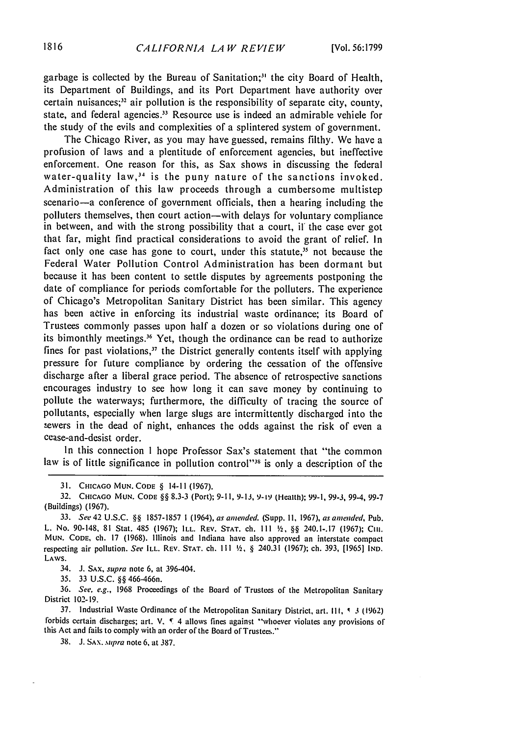garbage is collected by the Bureau of Sanitation;<sup>31</sup> the city Board of Health, its Department of Buildings, and its Port Department have authority over certain nuisances;<sup>32</sup> air pollution is the responsibility of separate city, county, state, and federal agencies.<sup>33</sup> Resource use is indeed an admirable vehicle for the study of the evils and complexities of a splintered system of government.

The Chicago River, as you may have guessed, remains filthy. We have a profusion of laws and a plentitude of enforcement agencies, but ineffective enforcement. One reason for this, as Sax shows in discussing the federal water-quality law, $<sup>34</sup>$  is the puny nature of the sanctions invoked.</sup> Administration of this law proceeds through a cumbersome multistep scenario-a conference of government officials, then a hearing including the polluters themselves, then court action-with delays for voluntary compliance in between, and with the strong possibility that a court, it the case ever got that far, might find practical considerations to avoid the grant of relief. In fact only one case has gone to court, under this statute,<sup>35</sup> not because the Federal Water Pollution Control Administration has been dormant but because it has been content to settle disputes by agreements postponing the date of compliance for periods comfortable for the polluters. The experience of Chicago's Metropolitan Sanitary District has been similar. This agency has been active in enforcing its industrial waste ordinance; its Board of Trustees commonly passes upon half a dozen or so violations during one of its bimonthly meetings.<sup>36</sup> Yet, though the ordinance can be read to authorize fines for past violations, $37$  the District generally contents itself with applying pressure for future compliance by ordering the cessation of the offensive discharge after a liberal grace period. The absence of retrospective sanctions encourages industry to see how long it can save money by continuing to pollute the waterways; furthermore, the difficulty of tracing the source of pollutants, especially when large slugs are intermittently discharged into the sewers in the dead of night, enhances the odds against the risk of even a cease-and-desist order.

In this connection I hope Professor Sax's statement that "the common law is of little significance in pollution control"<sup>38</sup> is only a description of the

34. **J. SAX,** *supra* note **6, at** 396-404.

**35. 33 U.S.C. §§** 466-466n.

**36.** See, e.g., **1968** Proceedings **of** the **Board of** Trustees **of** the Metropolitan Sanitary District **102-19.**

**37.** Industrial Waste Ordinance **of** the Metropolitan Sanitary District, art. **I11, 3 (1962)** forbids certain discharges; art. V. 4 allows fines against "whoever violates any provisions **of** this Act and fails **to** comply with an order **of** the Board **of** Trustees."

**38. J. SAx.** *supra* note **6,** at **387.**

**<sup>31.</sup> CHICAGO MUN. CODE** § 14-11 **(1967).**

**<sup>32.</sup> CHICAGO MUN. CODE** §§ **8.3-3** (Port); **9-Il, 9-13, 9-19** (Health); **99-1, 99-3,** 99-4, **99-7** (Buildings) **(1967).**

**<sup>33.</sup>** See 42 **U.S.C.** §§ **1857-1857 1** (1964). as amended. (Supp. **II, 1967),** as amended, Pub. **L.** No. 90-148, **81** Stat. 485 **(1967);** ILL. **REV. STAT. ch. III** *V,* §§ 240.1-.17 **(1967);** Cmi. **MUN. CODE, ch. 17 (1968).** Illinois and Indiana have also approved an interstate compact respecting air pollution. See **ILL. REV. STAT. ch. III** 1/2, § 240.31 **(1967); ch. 393, [1965] IND.** LAWS.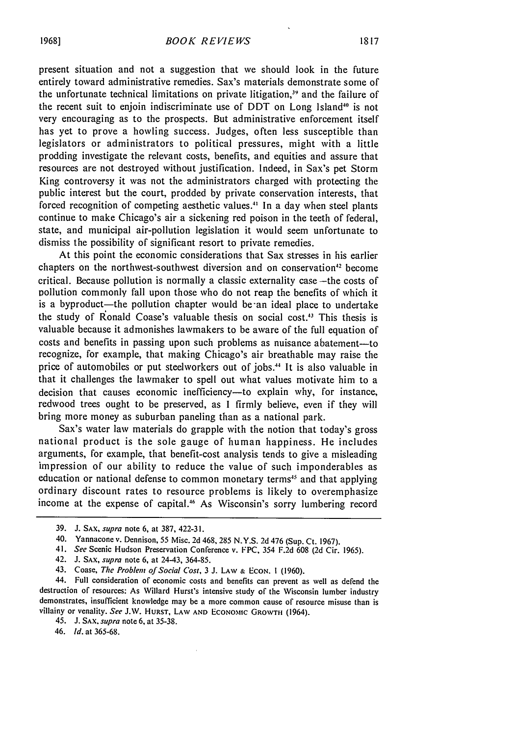present situation and not a suggestion that we should look in the future entirely toward administrative remedies. Sax's materials demonstrate some of the unfortunate technical limitations on private litigation,<sup>39</sup> and the failure of the recent suit to enjoin indiscriminate use of DDT on Long Island<sup>40</sup> is not very encouraging as to the prospects. But administrative enforcement itself has yet to prove a howling success. Judges, often less susceptible than legislators or administrators to political pressures, might with a little prodding investigate the relevant costs, benefits, and equities and assure that resources are not destroyed without justification. Indeed, in Sax's pet Storm King controversy it was not the administrators charged with protecting the public interest but the court, prodded by private conservation interests, that forced recognition of competing aesthetic values.<sup>41</sup> In a day when steel plants continue to make Chicago's air a sickening red poison in the teeth of federal, state, and municipal air-pollution legislation it would seem unfortunate to dismiss the possibility of significant resort to private remedies.

At this point the economic considerations that Sax stresses in his earlier chapters on the northwest-southwest diversion and on conservation<sup>42</sup> become critical. Because pollution is normally a classic externality case-the costs of pollution commonly fall upon those who do not reap the benefits of which it is a byproduct—the pollution chapter would be an ideal place to undertake the study of Ronald Coase's valuable thesis on social cost.<sup>43</sup> This thesis is valuable because it admonishes lawmakers to be aware of the full equation of costs and benefits in passing upon such problems as nuisance abatement--- to recognize, for example, that making Chicago's air breathable may raise the price of automobiles or put steelworkers out of jobs.<sup>44</sup> It is also valuable in that it challenges the lawmaker to spell out what values motivate him to a decision that causes economic inefficiency--- to explain why, for instance, redwood trees ought to be preserved, as I firmly believe, even if they will bring more money as suburban paneling than as a national park.

Sax's water law materials do grapple with the notion that today's gross national product is the sole gauge of human happiness. He includes arguments, for example, that benefit-cost analysis tends to give a misleading impression of our ability to reduce the value of such imponderables as education or national defense to common monetary terms<sup>45</sup> and that applying ordinary discount rates to resource problems is likely to overemphasize income at the expense of capital.<sup>46</sup> As Wisconsin's sorry lumbering record

41. *See* Scenic Hudson Preservation Conference v. FPC, 354 F.2d 608 (2d Cir. 1965).

42. J. SAX, supra note 6, at 24-43, 364-85.

43. Coase, *The Problem of* Social *Cost,* 3 J. LAW & EcON. I (1960).

44. Full consideration of economic costs and benefits can prevent as well as defend the destruction of resources: As Willard Hurst's intensive study of the Wisconsin lumber industry demonstrates, insufficient knowledge may be a more common cause of resource misuse than is villainy or venality. See J.W. HURST, LAW AND ECONOMIC GROWTH (1964).

45. J. SAX. supra note 6, at **35-38.**

46. **Id.** at 365-68.

<sup>39.</sup> J. **SAX,** supra note 6, at 387, 422-31.

<sup>40.</sup> Yannacone v. Dennison, 55 Misc. 2d 468, 285 N.Y.S. 2d 476 (Sup. Ct. 1967).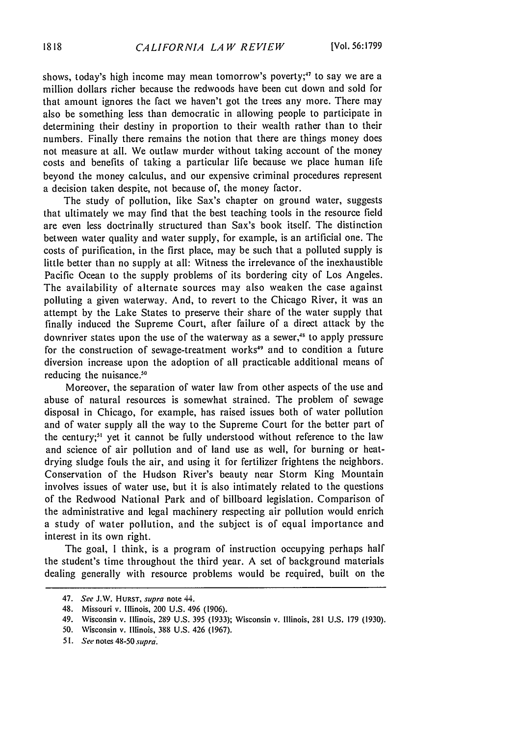shows, today's high income may mean tomorrow's poverty;<sup>47</sup> to say we are a million dollars richer because the redwoods have been cut down and sold for that amount ignores the fact we haven't got the trees any more. There may also be something less than democratic in allowing people to participate in determining their destiny in proportion to their wealth rather than to their numbers. Finally there remains the notion that there are things money does not measure at all. We outlaw murder without taking account of the money costs and benefits of taking a particular life because we place human life beyond the money calculus, and our expensive criminal procedures represent a decision taken despite, not because of, the money factor.

The study of pollution, like Sax's chapter on ground water, suggests that ultimately we may find that the best teaching tools in the resource field are even less doctrinally structured than Sax's book itself. The distinction between water quality and water supply, for example, is an artificial one. The costs of purification, in the first place, may be such that a polluted supply is little better than no supply at all: Witness the irrelevance of the inexhaustible Pacific Ocean to the supply problems of its bordering city of Los Angeles. The availability of alternate sources may also weaken the case against polluting a given waterway. And, to revert to the Chicago River, it was an attempt by the Lake States to preserve their share of the water supply that finally induced the Supreme Court, after failure of a direct attack by the downriver states upon the use of the waterway as a sewer,<sup>48</sup> to apply pressure for the construction of sewage-treatment works<sup>49</sup> and to condition a future diversion increase upon the adoption of all practicable additional means of reducing the nuisance.<sup>50</sup>

Moreover, the separation of water law from other aspects of the use and abuse of natural resources is somewhat strained. The problem of sewage disposal in Chicago, for example, has raised issues both of water pollution and of water supply all the way to the Supreme Court for the better part of the century;<sup>51</sup> yet it cannot be fully understood without reference to the law and science of air pollution and of land use as well, for burning or heatdrying sludge fouls the air, and using it for fertilizer frightens the neighbors. Conservation of the Hudson River's beauty near Storm King Mountain involves issues of water use, but it is also intimately related to the questions of the Redwood National Park and of billboard legislation. Comparison of the administrative and legal machinery respecting air pollution would enrich a study of water pollution, and the subject is of equal importance and interest in its own right.

The goal, I think, is a program of instruction occupying perhaps half the student's time throughout the third year. A set of background materials dealing generally with resource problems would be required, built on the

<sup>47.</sup> *See* **J.W. HURST,** *supra* note 44.

<sup>48.</sup> Missouri v. Illinois, 200 U.S. 496 (1906).

<sup>49.</sup> Wisconsin v. Illinois, 289 U.S. 395 (1933); Wisconsin **v.** Illinois, 281 U.S. 179 (1930).

*<sup>50.</sup>* Wisconsin v. Illinois, 388 U.S. 426 (1967).

*<sup>51.</sup> See* notes 48-50 *supra.*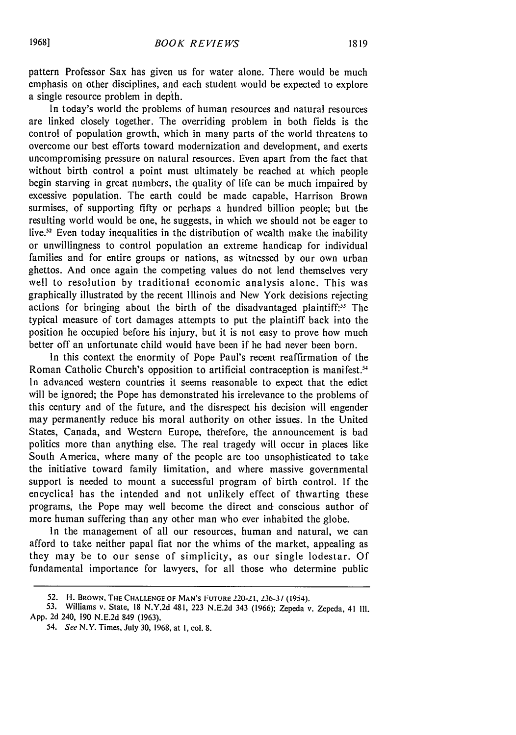pattern Professor Sax has given us for water alone. There would be much emphasis on other disciplines, and each student would be expected to explore a single resource problem in depth.

In today's world the problems of human resources and natural resources are linked closely together. The overriding problem in both fields is the control of population growth, which in many parts of the world threatens to overcome our best efforts toward modernization and development, and exerts uncompromising pressure on natural resources. Even apart from the fact that without birth control a point must ultimately be reached at which people begin starving in great numbers, the quality of life can be much impaired by excessive population. The earth could be made capable, Harrison Brown surmises, of supporting fifty or perhaps a hundred billion people; but the resulting world would be one, he suggests, in which we should not be eager to live.<sup>52</sup> Even today inequalities in the distribution of wealth make the inability or unwillingness to control population an extreme handicap for individual families and for entire groups or nations, as witnessed by our own urban ghettos. And once again the competing values do not lend themselves very well to resolution by traditional economic analysis alone. This was graphically illustrated by the recent Illinois and New York decisions rejecting actions for bringing about the birth of the disadvantaged plaintiff:<sup>53</sup> The typical measure of tort damages attempts to put the plaintiff back into the position he occupied before his injury, but it is not easy to prove how much better off an unfortunate child would have been if he had never been born.

In this context the enormity of Pope Paul's recent reaffirmation of the Roman Catholic Church's opposition to artificial contraception is manifest.<sup>54</sup> In advanced western countries it seems reasonable to expect that the edict will be ignored; the Pope has demonstrated his irrelevance to the problems of this century and of the future, and the disrespect his decision will engender may permanently reduce his moral authority on other issues. In the United States, Canada, and Western Europe, therefore, the announcement is bad politics more than anything else. The real tragedy will occur in places like South America, where many of the people are too unsophisticated to take the initiative toward family limitation, and where massive governmental support is needed to mount a successful program of birth control. If the encyclical has the intended and not unlikely effect of thwarting these programs, the Pope may well become the direct and conscious author of more human suffering than any other man who ever inhabited the globe.

In the management of all our resources, human and natural, we can afford to take neither papal fiat nor the whims of the market, appealing as they may be to our sense of simplicity, as our single lodestar. Of fundamental importance for lawyers, for all those who determine public

**<sup>52.</sup>** H. BROWN, **THE CHALLENGE** OF **MAN'S FUTURE** 220-21, **236-3/** (1954).

<sup>53.</sup> Williams v. State, 18 N.Y.2d 481, 223 N.E.2d 343 **(1966);** Zepeda v. Zepeda, 41 **111.** App. 2d 240, 190 N.E.2d 849 (1963).

*<sup>54.</sup> See* N.Y. Times, July 30, 1968, at I, col. 8.